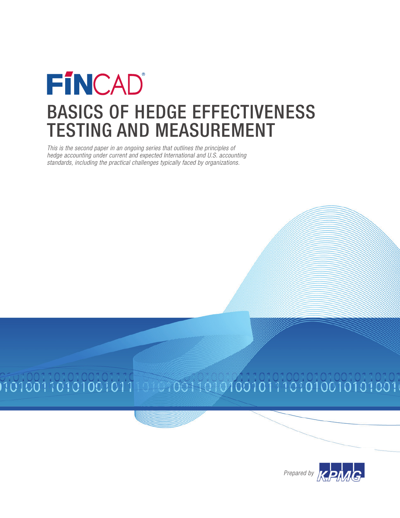# FÍNCAD Basics of Hedge Effectiveness Testing and Measurement

This is the second paper in an ongoing series that outlines the principles of hedge accounting under current and expected International and U.S. accounting standards, including the practical challenges typically faced by organizations.



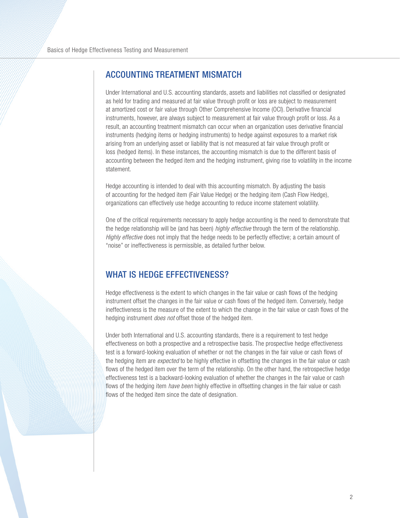## Accounting Treatment Mismatch

Under International and U.S. accounting standards, assets and liabilities not classified or designated as held for trading and measured at fair value through profit or loss are subject to measurement at amortized cost or fair value through Other Comprehensive Income (OCI). Derivative financial instruments, however, are always subject to measurement at fair value through profit or loss. As a result, an accounting treatment mismatch can occur when an organization uses derivative financial instruments (hedging items or hedging instruments) to hedge against exposures to a market risk arising from an underlying asset or liability that is not measured at fair value through profit or loss (hedged items). In these instances, the accounting mismatch is due to the different basis of accounting between the hedged item and the hedging instrument, giving rise to volatility in the income statement.

Hedge accounting is intended to deal with this accounting mismatch. By adjusting the basis of accounting for the hedged item (Fair Value Hedge) or the hedging item (Cash Flow Hedge), organizations can effectively use hedge accounting to reduce income statement volatility.

One of the critical requirements necessary to apply hedge accounting is the need to demonstrate that the hedge relationship will be (and has been) *highly effective* through the term of the relationship. Highly effective does not imply that the hedge needs to be perfectly effective; a certain amount of "noise" or ineffectiveness is permissible, as detailed further below.

## WHAT IS HEDGE EFFECTIVENESS?

Hedge effectiveness is the extent to which changes in the fair value or cash flows of the hedging instrument offset the changes in the fair value or cash flows of the hedged item. Conversely, hedge ineffectiveness is the measure of the extent to which the change in the fair value or cash flows of the hedging instrument *does not* offset those of the hedged item.

Under both International and U.S. accounting standards, there is a requirement to test hedge effectiveness on both a prospective and a retrospective basis. The prospective hedge effectiveness test is a forward-looking evaluation of whether or not the changes in the fair value or cash flows of the hedging item are *expected* to be highly effective in offsetting the changes in the fair value or cash flows of the hedged item over the term of the relationship. On the other hand, the retrospective hedge effectiveness test is a backward-looking evaluation of whether the changes in the fair value or cash flows of the hedging item *have been* highly effective in offsetting changes in the fair value or cash flows of the hedged item since the date of designation.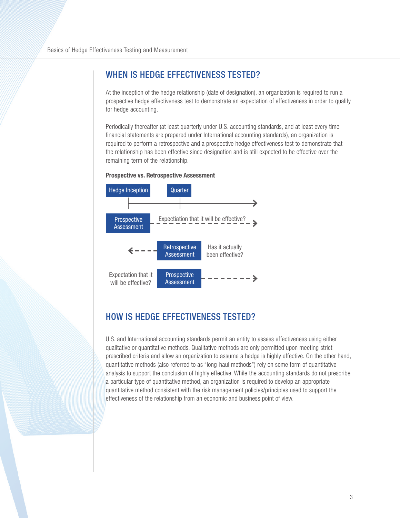## WHEN IS HEDGE EFFECTIVENESS TESTED?

At the inception of the hedge relationship (date of designation), an organization is required to run a prospective hedge effectiveness test to demonstrate an expectation of effectiveness in order to qualify for hedge accounting.

Periodically thereafter (at least quarterly under U.S. accounting standards, and at least every time financial statements are prepared under International accounting standards), an organization is required to perform a retrospective and a prospective hedge effectiveness test to demonstrate that the relationship has been effective since designation and is still expected to be effective over the remaining term of the relationship.



#### **Prospective vs. Retrospective Assessment**

## How is Hedge Effectiveness Tested?

U.S. and International accounting standards permit an entity to assess effectiveness using either qualitative or quantitative methods. Qualitative methods are only permitted upon meeting strict prescribed criteria and allow an organization to assume a hedge is highly effective. On the other hand, quantitative methods (also referred to as "long-haul methods") rely on some form of quantitative analysis to support the conclusion of highly effective. While the accounting standards do not prescribe a particular type of quantitative method, an organization is required to develop an appropriate quantitative method consistent with the risk management policies/principles used to support the effectiveness of the relationship from an economic and business point of view.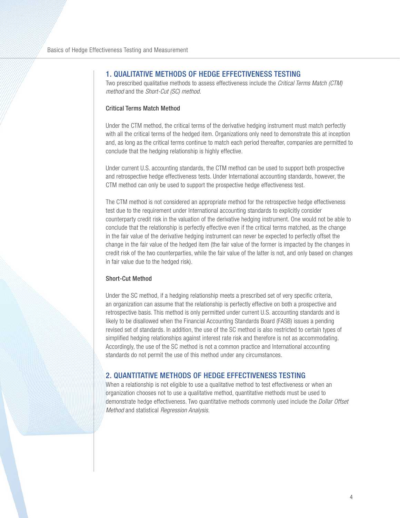### 1. Qualitative Methods of Hedge Effectiveness Testing

Two prescribed qualitative methods to assess effectiveness include the Critical Terms Match (CTM) method and the Short-Cut (SC) method.

#### Critical Terms Match Method

Under the CTM method, the critical terms of the derivative hedging instrument must match perfectly with all the critical terms of the hedged item. Organizations only need to demonstrate this at inception and, as long as the critical terms continue to match each period thereafter, companies are permitted to conclude that the hedging relationship is highly effective.

Under current U.S. accounting standards, the CTM method can be used to support both prospective and retrospective hedge effectiveness tests. Under International accounting standards, however, the CTM method can only be used to support the prospective hedge effectiveness test.

The CTM method is not considered an appropriate method for the retrospective hedge effectiveness test due to the requirement under International accounting standards to explicitly consider counterparty credit risk in the valuation of the derivative hedging instrument. One would not be able to conclude that the relationship is perfectly effective even if the critical terms matched, as the change in the fair value of the derivative hedging instrument can never be expected to perfectly offset the change in the fair value of the hedged item (the fair value of the former is impacted by the changes in credit risk of the two counterparties, while the fair value of the latter is not, and only based on changes in fair value due to the hedged risk).

#### Short-Cut Method

Under the SC method, if a hedging relationship meets a prescribed set of very specific criteria, an organization can assume that the relationship is perfectly effective on both a prospective and retrospective basis. This method is only permitted under current U.S. accounting standards and is likely to be disallowed when the Financial Accounting Standards Board (FASB) issues a pending revised set of standards. In addition, the use of the SC method is also restricted to certain types of simplified hedging relationships against interest rate risk and therefore is not as accommodating. Accordingly, the use of the SC method is not a common practice and International accounting standards do not permit the use of this method under any circumstances.

## 2. Quantitative Methods of Hedge Effectiveness Testing

When a relationship is not eligible to use a qualitative method to test effectiveness or when an organization chooses not to use a qualitative method, quantitative methods must be used to demonstrate hedge effectiveness. Two quantitative methods commonly used include the Dollar Offset Method and statistical Regression Analysis.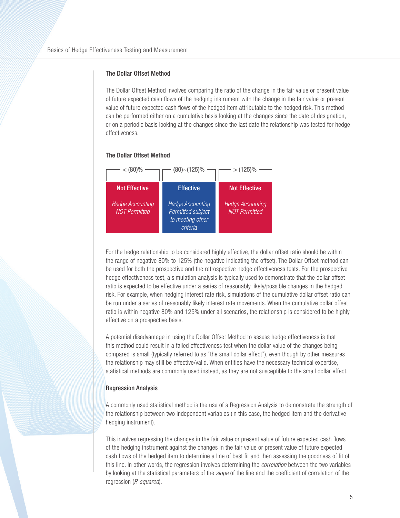#### The Dollar Offset Method

The Dollar Offset Method involves comparing the ratio of the change in the fair value or present value of future expected cash flows of the hedging instrument with the change in the fair value or present value of future expected cash flows of the hedged item attributable to the hedged risk. This method can be performed either on a cumulative basis looking at the changes since the date of designation, or on a periodic basis looking at the changes since the last date the relationship was tested for hedge effectiveness.

#### **The Dollar Offset Method**



For the hedge relationship to be considered highly effective, the dollar offset ratio should be within the range of negative 80% to 125% (the negative indicating the offset). The Dollar Offset method can be used for both the prospective and the retrospective hedge effectiveness tests. For the prospective hedge effectiveness test, a simulation analysis is typically used to demonstrate that the dollar offset ratio is expected to be effective under a series of reasonably likely/possible changes in the hedged risk. For example, when hedging interest rate risk, simulations of the cumulative dollar offset ratio can be run under a series of reasonably likely interest rate movements. When the cumulative dollar offset ratio is within negative 80% and 125% under all scenarios, the relationship is considered to be highly effective on a prospective basis.

A potential disadvantage in using the Dollar Offset Method to assess hedge effectiveness is that this method could result in a failed effectiveness test when the dollar value of the changes being compared is small (typically referred to as "the small dollar effect"), even though by other measures the relationship may still be effective/valid. When entities have the necessary technical expertise, statistical methods are commonly used instead, as they are not susceptible to the small dollar effect.

#### Regression Analysis

A commonly used statistical method is the use of a Regression Analysis to demonstrate the strength of the relationship between two independent variables (in this case, the hedged item and the derivative hedging instrument).

This involves regressing the changes in the fair value or present value of future expected cash flows of the hedging instrument against the changes in the fair value or present value of future expected cash flows of the hedged item to determine a line of best fit and then assessing the goodness of fit of this line. In other words, the regression involves determining the correlation between the two variables by looking at the statistical parameters of the *slope* of the line and the coefficient of correlation of the regression (R-squared).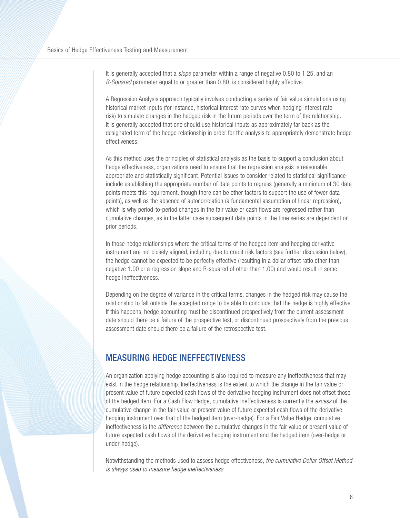It is generally accepted that a *slope* parameter within a range of negative 0.80 to 1.25, and an R-Squared parameter equal to or greater than 0.80, is considered highly effective.

A Regression Analysis approach typically involves conducting a series of fair value simulations using historical market inputs (for instance, historical interest rate curves when hedging interest rate risk) to simulate changes in the hedged risk in the future periods over the term of the relationship. It is generally accepted that one should use historical inputs as approximately far back as the designated term of the hedge relationship in order for the analysis to appropriately demonstrate hedge effectiveness.

As this method uses the principles of statistical analysis as the basis to support a conclusion about hedge effectiveness, organizations need to ensure that the regression analysis is reasonable, appropriate and statistically significant. Potential issues to consider related to statistical significance include establishing the appropriate number of data points to regress (generally a minimum of 30 data points meets this requirement, though there can be other factors to support the use of fewer data points), as well as the absence of autocorrelation (a fundamental assumption of linear regression), which is why period-to-period changes in the fair value or cash flows are regressed rather than cumulative changes, as in the latter case subsequent data points in the time series are dependent on prior periods.

In those hedge relationships where the critical terms of the hedged item and hedging derivative instrument are not closely aligned, including due to credit risk factors (see further discussion below), the hedge cannot be expected to be perfectly effective (resulting in a dollar offset ratio other than negative 1.00 or a regression slope and R-squared of other than 1.00) and would result in some hedge ineffectiveness.

Depending on the degree of variance in the critical terms, changes in the hedged risk may cause the relationship to fall outside the accepted range to be able to conclude that the hedge is highly effective. If this happens, hedge accounting must be discontinued prospectively from the current assessment date should there be a failure of the prospective test, or discontinued prospectively from the previous assessment date should there be a failure of the retrospective test.

## Measuring Hedge Ineffectiveness

An organization applying hedge accounting is also required to measure any ineffectiveness that may exist in the hedge relationship. Ineffectiveness is the extent to which the change in the fair value or present value of future expected cash flows of the derivative hedging instrument does not offset those of the hedged item. For a Cash Flow Hedge, cumulative ineffectiveness is currently the excess of the cumulative change in the fair value or present value of future expected cash flows of the derivative hedging instrument over that of the hedged item (over-hedge). For a Fair Value Hedge, cumulative ineffectiveness is the difference between the cumulative changes in the fair value or present value of future expected cash flows of the derivative hedging instrument and the hedged item (over-hedge or under-hedge).

Notwithstanding the methods used to assess hedge effectiveness, the cumulative Dollar Offset Method is always used to measure hedge ineffectiveness.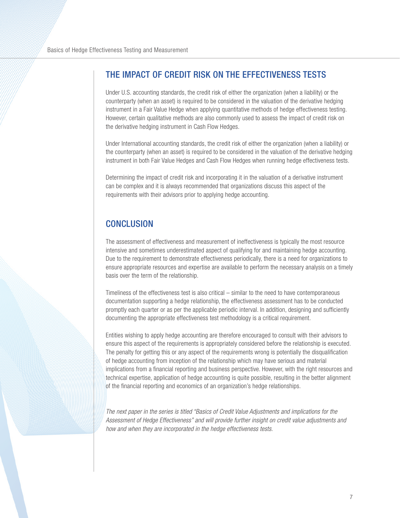## The Impact of Credit Risk on the Effectiveness Tests

Under U.S. accounting standards, the credit risk of either the organization (when a liability) or the counterparty (when an asset) is required to be considered in the valuation of the derivative hedging instrument in a Fair Value Hedge when applying quantitative methods of hedge effectiveness testing. However, certain qualitative methods are also commonly used to assess the impact of credit risk on the derivative hedging instrument in Cash Flow Hedges.

Under International accounting standards, the credit risk of either the organization (when a liability) or the counterparty (when an asset) is required to be considered in the valuation of the derivative hedging instrument in both Fair Value Hedges and Cash Flow Hedges when running hedge effectiveness tests.

Determining the impact of credit risk and incorporating it in the valuation of a derivative instrument can be complex and it is always recommended that organizations discuss this aspect of the requirements with their advisors prior to applying hedge accounting.

# **CONCLUSION**

The assessment of effectiveness and measurement of ineffectiveness is typically the most resource intensive and sometimes underestimated aspect of qualifying for and maintaining hedge accounting. Due to the requirement to demonstrate effectiveness periodically, there is a need for organizations to ensure appropriate resources and expertise are available to perform the necessary analysis on a timely basis over the term of the relationship.

Timeliness of the effectiveness test is also critical – similar to the need to have contemporaneous documentation supporting a hedge relationship, the effectiveness assessment has to be conducted promptly each quarter or as per the applicable periodic interval. In addition, designing and sufficiently documenting the appropriate effectiveness test methodology is a critical requirement.

Entities wishing to apply hedge accounting are therefore encouraged to consult with their advisors to ensure this aspect of the requirements is appropriately considered before the relationship is executed. The penalty for getting this or any aspect of the requirements wrong is potentially the disqualification of hedge accounting from inception of the relationship which may have serious and material implications from a financial reporting and business perspective. However, with the right resources and technical expertise, application of hedge accounting is quite possible, resulting in the better alignment of the financial reporting and economics of an organization's hedge relationships.

The next paper in the series is titled "Basics of Credit Value Adjustments and implications for the Assessment of Hedge Effectiveness" and will provide further insight on credit value adjustments and how and when they are incorporated in the hedge effectiveness tests.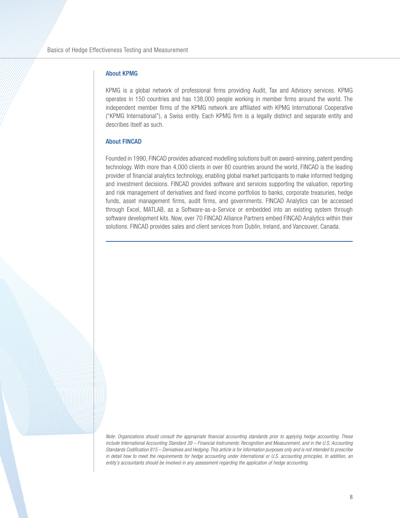#### About KPMG

KPMG is a global network of professional firms providing Audit, Tax and Advisory services. KPMG operates in 150 countries and has 138,000 people working in member firms around the world. The independent member firms of the KPMG network are affiliated with KPMG International Cooperative ("KPMG International"), a Swiss entity. Each KPMG firm is a legally distinct and separate entity and describes itself as such.

#### About FINCAD

Founded in 1990, FINCAD provides advanced modelling solutions built on award-winning, patent pending technology. With more than 4,000 clients in over 80 countries around the world, FINCAD is the leading provider of financial analytics technology, enabling global market participants to make informed hedging and investment decisions. FINCAD provides software and services supporting the valuation, reporting and risk management of derivatives and fixed income portfolios to banks, corporate treasuries, hedge funds, asset management firms, audit firms, and governments. FINCAD Analytics can be accessed through Excel, MATLAB, as a Software-as-a-Service or embedded into an existing system through software development kits. Now, over 70 FINCAD Alliance Partners embed FINCAD Analytics within their solutions. FINCAD provides sales and client services from Dublin, Ireland, and Vancouver, Canada.

Note: Organizations should consult the appropriate financial accounting standards prior to applying hedge accounting. These include International Accounting Standard 39 – Financial Instruments: Recognition and Measurement, and in the U.S. Accounting Standards Codification 815 – Derivatives and Hedging. This article is for information purposes only and is not intended to prescribe in detail how to meet the requirements for hedge accounting under International or U.S. accounting principles. In addition, an entity's accountants should be involved in any assessment regarding the application of hedge accounting.